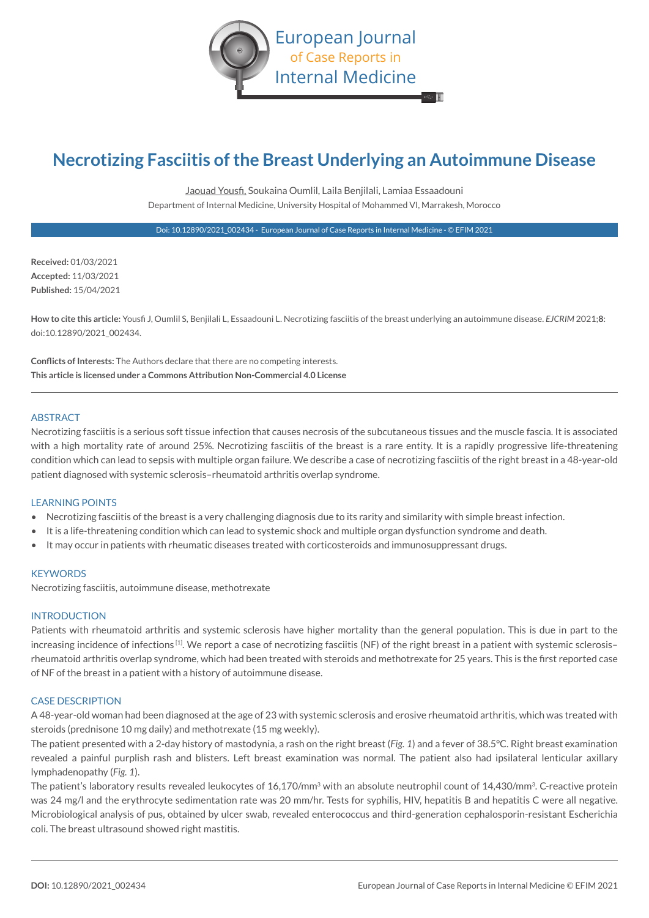

# **Necrotizing Fasciitis of the Breast Underlying an Autoimmune Disease**

Jaouad Yousfi, Soukaina Oumlil, Laila Benjilali, Lamiaa Essaadouni Department of Internal Medicine, University Hospital of Mohammed VI, Marrakesh, Morocco

Doi: 10.12890/2021\_002434 - European Journal of Case Reports in Internal Medicine - © EFIM 2021

**Received:** 01/03/2021 **Accepted:** 11/03/2021 **Published:** 15/04/2021

**How to cite this article:** Yousfi J, Oumlil S, Benjilali L, Essaadouni L. Necrotizing fasciitis of the breast underlying an autoimmune disease. *EJCRIM* 2021;**8**: doi:10.12890/2021\_002434.

**Conflicts of Interests:** The Authors declare that there are no competing interests. **This article is licensed under a Commons Attribution Non-Commercial 4.0 License**

#### **ABSTRACT**

Necrotizing fasciitis is a serious soft tissue infection that causes necrosis of the subcutaneous tissues and the muscle fascia. It is associated with a high mortality rate of around 25%. Necrotizing fasciitis of the breast is a rare entity. It is a rapidly progressive life-threatening condition which can lead to sepsis with multiple organ failure. We describe a case of necrotizing fasciitis of the right breast in a 48-year-old patient diagnosed with systemic sclerosis–rheumatoid arthritis overlap syndrome.

#### LEARNING POINTS

- Necrotizing fasciitis of the breast is a very challenging diagnosis due to its rarity and similarity with simple breast infection.
- It is a life-threatening condition which can lead to systemic shock and multiple organ dysfunction syndrome and death.
- It may occur in patients with rheumatic diseases treated with corticosteroids and immunosuppressant drugs.

# **KEYWORDS**

Necrotizing fasciitis, autoimmune disease, methotrexate

### INTRODUCTION

Patients with rheumatoid arthritis and systemic sclerosis have higher mortality than the general population. This is due in part to the increasing incidence of infections<sup>[1]</sup>. We report a case of necrotizing fasciitis (NF) of the right breast in a patient with systemic sclerosisrheumatoid arthritis overlap syndrome, which had been treated with steroids and methotrexate for 25 years. This is the first reported case of NF of the breast in a patient with a history of autoimmune disease.

# CASE DESCRIPTION

A 48-year-old woman had been diagnosed at the age of 23 with systemic sclerosis and erosive rheumatoid arthritis, which was treated with steroids (prednisone 10 mg daily) and methotrexate (15 mg weekly).

The patient presented with a 2-day history of mastodynia, a rash on the right breast (*Fig. 1*) and a fever of 38.5°C. Right breast examination revealed a painful purplish rash and blisters. Left breast examination was normal. The patient also had ipsilateral lenticular axillary lymphadenopathy (*Fig. 1*).

The patient's laboratory results revealed leukocytes of 16.170/mm<sup>3</sup> with an absolute neutrophil count of 14.430/mm<sup>3</sup>. C-reactive protein was 24 mg/l and the erythrocyte sedimentation rate was 20 mm/hr. Tests for syphilis, HIV, hepatitis B and hepatitis C were all negative. Microbiological analysis of pus, obtained by ulcer swab, revealed enterococcus and third-generation cephalosporin-resistant Escherichia coli. The breast ultrasound showed right mastitis.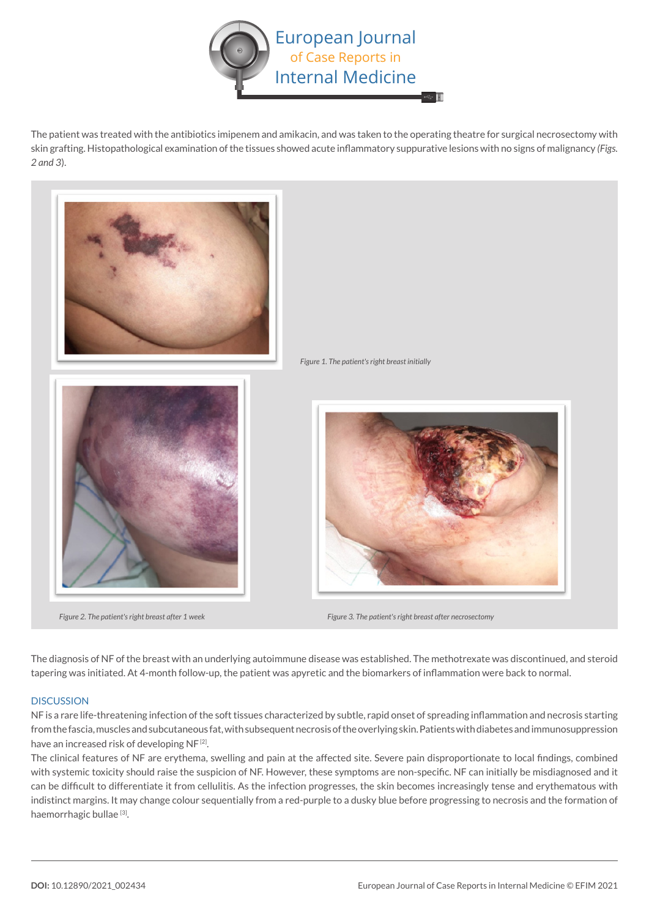

The patient was treated with the antibiotics imipenem and amikacin, and was taken to the operating theatre for surgical necrosectomy with skin grafting. Histopathological examination of the tissues showed acute inflammatory suppurative lesions with no signs of malignancy *(Figs. 2 and 3*).



The diagnosis of NF of the breast with an underlying autoimmune disease was established. The methotrexate was discontinued, and steroid tapering was initiated. At 4-month follow-up, the patient was apyretic and the biomarkers of inflammation were back to normal.

# **DISCUSSION**

NF is a rare life-threatening infection of the soft tissues characterized by subtle, rapid onset of spreading inflammation and necrosis starting from the fascia, muscles and subcutaneous fat, with subsequent necrosis of the overlying skin. Patients with diabetes and immunosuppression have an increased risk of developing NF<sup>[2]</sup>.

The clinical features of NF are erythema, swelling and pain at the affected site. Severe pain disproportionate to local findings, combined with systemic toxicity should raise the suspicion of NF. However, these symptoms are non-specific. NF can initially be misdiagnosed and it can be difficult to differentiate it from cellulitis. As the infection progresses, the skin becomes increasingly tense and erythematous with indistinct margins. It may change colour sequentially from a red-purple to a dusky blue before progressing to necrosis and the formation of haemorrhagic bullae<sup>[3]</sup>.

*Figure 2. The patient's right breast after 1 week Figure 3. The patient's right breast after necrosectomy*